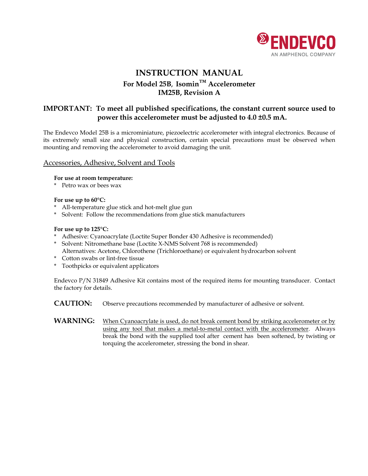

# **INSTRUCTION MANUAL For Model 25B, Isomin™ Accelerometer IM25B, Revision A**

# **IMPORTANT: To meet all published specifications, the constant current source used to power this accelerometer must be adjusted to 4.0 ±0.5 mA.**

The Endevco Model 25B is a microminiature, piezoelectric accelerometer with integral electronics. Because of its extremely small size and physical construction, certain special precautions must be observed when mounting and removing the accelerometer to avoid damaging the unit.

#### Accessories, Adhesive, Solvent and Tools

#### **For use at room temperature:**

\* Petro wax or bees wax

#### **For use up to 60°C:**

- \* All-temperature glue stick and hot-melt glue gun
- \* Solvent: Follow the recommendations from glue stick manufacturers

#### **For use up to 125°C:**

- \* Adhesive: Cyanoacrylate (Loctite Super Bonder 430 Adhesive is recommended)
- \* Solvent: Nitromethane base (Loctite X-NMS Solvent 768 is recommended) Alternatives: Acetone, Chlorothene (Trichloroethane) or equivalent hydrocarbon solvent
- \* Cotton swabs or lint-free tissue
- \* Toothpicks or equivalent applicators

Endevco P/N 31849 Adhesive Kit contains most of the required items for mounting transducer. Contact the factory for details.

**CAUTION:** Observe precautions recommended by manufacturer of adhesive or solvent.

WARNING: When Cyanoacrylate is used, do not break cement bond by striking accelerometer or by using any tool that makes a metal-to-metal contact with the accelerometer. Always break the bond with the supplied tool after cement has been softened, by twisting or torquing the accelerometer, stressing the bond in shear.